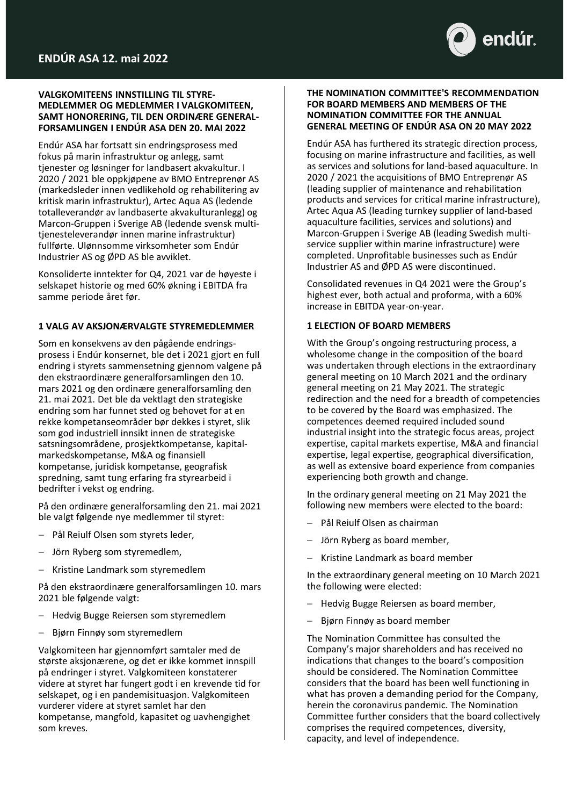

# **VALGKOMITEENS INNSTILLING TIL STYRE-MEDLEMMER OG MEDLEMMER I VALGKOMITEEN, SAMT HONORERING, TIL DEN ORDINÆRE GENERAL-FORSAMLINGEN I ENDÚR ASA DEN 20. MAI 2022**

Endúr ASA har fortsatt sin endringsprosess med fokus på marin infrastruktur og anlegg, samt tjenester og løsninger for landbasert akvakultur. I 2020 / 2021 ble oppkjøpene av BMO Entreprenør AS (markedsleder innen vedlikehold og rehabilitering av kritisk marin infrastruktur), Artec Aqua AS (ledende totalleverandør av landbaserte akvakulturanlegg) og Marcon-Gruppen i Sverige AB (ledende svensk multitjenesteleverandør innen marine infrastruktur) fullførte. Ulønnsomme virksomheter som Endúr Industrier AS og ØPD AS ble avviklet.

Konsoliderte inntekter for Q4, 2021 var de høyeste i selskapet historie og med 60% økning i EBITDA fra samme periode året før.

# **1 VALG AV AKSJONÆRVALGTE STYREMEDLEMMER**

Som en konsekvens av den pågående endringsprosess i Endúr konsernet, ble det i 2021 gjort en full endring i styrets sammensetning gjennom valgene på den ekstraordinære generalforsamlingen den 10. mars 2021 og den ordinære generalforsamling den 21. mai 2021. Det ble da vektlagt den strategiske endring som har funnet sted og behovet for at en rekke kompetanseområder bør dekkes i styret, slik som god industriell innsikt innen de strategiske satsningsområdene, prosjektkompetanse, kapitalmarkedskompetanse, M&A og finansiell kompetanse, juridisk kompetanse, geografisk spredning, samt tung erfaring fra styrearbeid i bedrifter i vekst og endring.

På den ordinære generalforsamling den 21. mai 2021 ble valgt følgende nye medlemmer til styret:

- − Pål Reiulf Olsen som styrets leder,
- Jörn Ryberg som styremedlem,
- − Kristine Landmark som styremedlem

På den ekstraordinære generalforsamlingen 10. mars 2021 ble følgende valgt:

- − Hedvig Bugge Reiersen som styremedlem
- − Bjørn Finnøy som styremedlem

Valgkomiteen har gjennomført samtaler med de største aksjonærene, og det er ikke kommet innspill på endringer i styret. Valgkomiteen konstaterer videre at styret har fungert godt i en krevende tid for selskapet, og i en pandemisituasjon. Valgkomiteen vurderer videre at styret samlet har den kompetanse, mangfold, kapasitet og uavhengighet som kreves.

## **THE NOMINATION COMMITTEE'S RECOMMENDATION FOR BOARD MEMBERS AND MEMBERS OF THE NOMINATION COMMITTEE FOR THE ANNUAL GENERAL MEETING OF ENDÚR ASA ON 20 MAY 2022**

Endúr ASA has furthered its strategic direction process, focusing on marine infrastructure and facilities, as well as services and solutions for land-based aquaculture. In 2020 / 2021 the acquisitions of BMO Entreprenør AS (leading supplier of maintenance and rehabilitation products and services for critical marine infrastructure), Artec Aqua AS (leading turnkey supplier of land-based aquaculture facilities, services and solutions) and Marcon-Gruppen i Sverige AB (leading Swedish multiservice supplier within marine infrastructure) were completed. Unprofitable businesses such as Endúr Industrier AS and ØPD AS were discontinued.

Consolidated revenues in Q4 2021 were the Group's highest ever, both actual and proforma, with a 60% increase in EBITDA year-on-year.

# **1 ELECTION OF BOARD MEMBERS**

With the Group's ongoing restructuring process, a wholesome change in the composition of the board was undertaken through elections in the extraordinary general meeting on 10 March 2021 and the ordinary general meeting on 21 May 2021. The strategic redirection and the need for a breadth of competencies to be covered by the Board was emphasized. The competences deemed required included sound industrial insight into the strategic focus areas, project expertise, capital markets expertise, M&A and financial expertise, legal expertise, geographical diversification, as well as extensive board experience from companies experiencing both growth and change.

In the ordinary general meeting on 21 May 2021 the following new members were elected to the board:

- − Pål Reiulf Olsen as chairman
- − Jörn Ryberg as board member,
- − Kristine Landmark as board member

In the extraordinary general meeting on 10 March 2021 the following were elected:

- − Hedvig Bugge Reiersen as board member,
- Bjørn Finnøy as board member

The Nomination Committee has consulted the Company's major shareholders and has received no indications that changes to the board's composition should be considered. The Nomination Committee considers that the board has been well functioning in what has proven a demanding period for the Company, herein the coronavirus pandemic. The Nomination Committee further considers that the board collectively comprises the required competences, diversity, capacity, and level of independence.